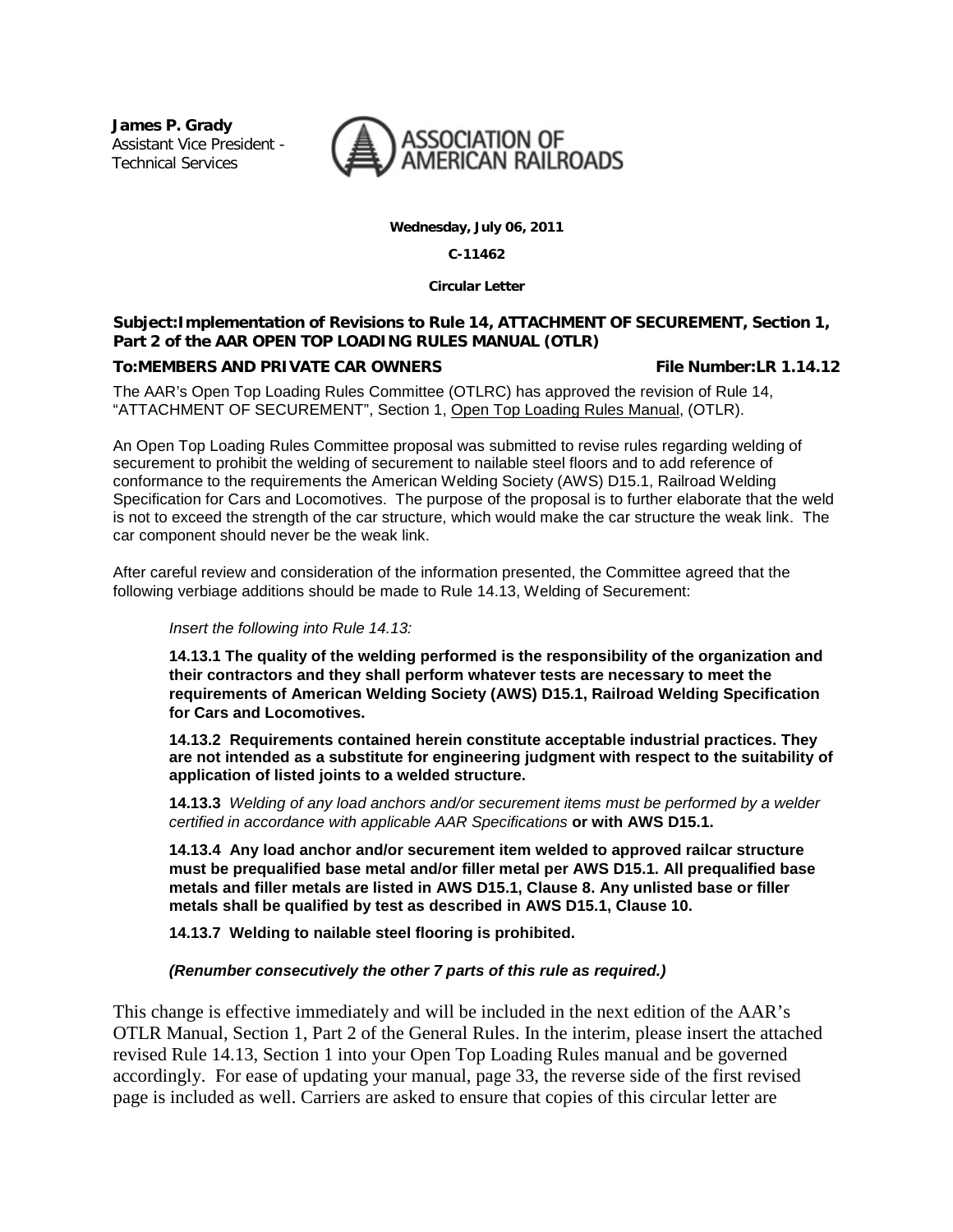**James P. Grady** Assistant Vice President - Technical Services



**Wednesday, July 06, 2011**

**C-11462**

**Circular Letter**

## **Subject:Implementation of Revisions to Rule 14, ATTACHMENT OF SECUREMENT, Section 1, Part 2 of the AAR OPEN TOP LOADING RULES MANUAL (OTLR)**

# **To:MEMBERS AND PRIVATE CAR OWNERS File Number:LR 1.14.12**

The AAR's Open Top Loading Rules Committee (OTLRC) has approved the revision of Rule 14, "ATTACHMENT OF SECUREMENT", Section 1, Open Top Loading Rules Manual, (OTLR).

An Open Top Loading Rules Committee proposal was submitted to revise rules regarding welding of securement to prohibit the welding of securement to nailable steel floors and to add reference of conformance to the requirements the American Welding Society (AWS) D15.1, Railroad Welding Specification for Cars and Locomotives. The purpose of the proposal is to further elaborate that the weld is not to exceed the strength of the car structure, which would make the car structure the weak link. The car component should never be the weak link.

After careful review and consideration of the information presented, the Committee agreed that the following verbiage additions should be made to Rule 14.13, Welding of Securement:

#### *Insert the following into Rule 14.13:*

**14.13.1 The quality of the welding performed is the responsibility of the organization and their contractors and they shall perform whatever tests are necessary to meet the requirements of American Welding Society (AWS) D15.1, Railroad Welding Specification for Cars and Locomotives.**

**14.13.2 Requirements contained herein constitute acceptable industrial practices. They are not intended as a substitute for engineering judgment with respect to the suitability of application of listed joints to a welded structure.** 

**14.13.3** *Welding of any load anchors and/or securement items must be performed by a welder certified in accordance with applicable AAR Specifications* **or with AWS D15.1.**

**14.13.4 Any load anchor and/or securement item welded to approved railcar structure must be prequalified base metal and/or filler metal per AWS D15.1. All prequalified base metals and filler metals are listed in AWS D15.1, Clause 8. Any unlisted base or filler metals shall be qualified by test as described in AWS D15.1, Clause 10.**

**14.13.7 Welding to nailable steel flooring is prohibited.**

*(Renumber consecutively the other 7 parts of this rule as required.)* 

This change is effective immediately and will be included in the next edition of the AAR's OTLR Manual, Section 1, Part 2 of the General Rules. In the interim, please insert the attached revised Rule 14.13, Section 1 into your Open Top Loading Rules manual and be governed accordingly. For ease of updating your manual, page 33, the reverse side of the first revised page is included as well. Carriers are asked to ensure that copies of this circular letter are